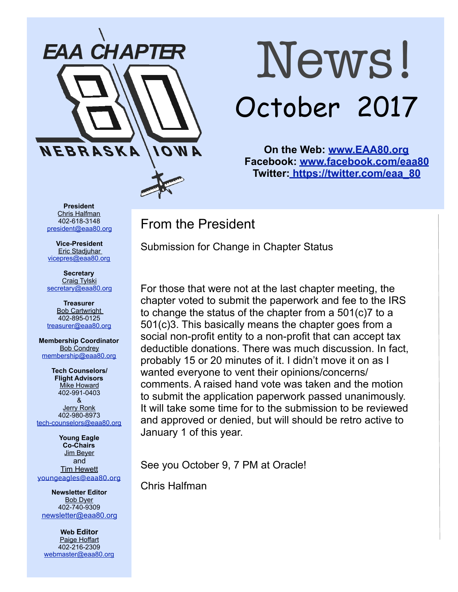

# News! October 2017

**On the Web: [www.EAA80.org](http://www.EAA80.org) Facebook: [www.facebook.com/eaa80](http://www.facebook.com/eaa80) Twitter[: https://twitter.com/eaa\\_80](https://twitter.com/eaa_80)**

**President**  Chris Halfman 402-618-3148 [president@eaa80.org](mailto:president@eaa80.org)

**Vice-President**  Eric Stadjuhar [vicepres@eaa80.org](mailto:vicepres@eaa80.org) 

**Secretary**  Craig Tylski [secretary@eaa80.org](mailto:secretary@eaa80.org)

**Treasurer**  Bob Cartwright 402-895-0125 [treasurer@eaa80.org](mailto:treasurer@eaa80.org)

**Membership Coordinator Bob Condrey** [membership@eaa80.org](mailto:membership@eaa80.org) 

**Tech Counselors/ Flight Advisors Mike Howard** 402-991-0403 & Jerry Ronk 402-980-8973 [tech-counselors@eaa80.org](mailto:tech-counselors@eaa80.org) 

**Young Eagle Co-Chairs**  Jim Beyer and **Tim Hewett** [youngeagles@eaa80.org](mailto:youngeagles@eaa80.org)

**Newsletter Editor**  Bob Dyer 402-740-9309 [newsletter@eaa80.org](mailto:newsletter@eaa80.org)

**Web Editor**  Paige Hoffart 402-216-2309 [webmaster@eaa80.org](mailto:webmaster@eaa80.org) From the President

Submission for Change in Chapter Status

For those that were not at the last chapter meeting, the chapter voted to submit the paperwork and fee to the IRS to change the status of the chapter from a 501(c)7 to a 501(c)3. This basically means the chapter goes from a social non-profit entity to a non-profit that can accept tax deductible donations. There was much discussion. In fact, probably 15 or 20 minutes of it. I didn't move it on as I wanted everyone to vent their opinions/concerns/ comments. A raised hand vote was taken and the motion to submit the application paperwork passed unanimously. It will take some time for to the submission to be reviewed and approved or denied, but will should be retro active to January 1 of this year.

See you October 9, 7 PM at Oracle!

Chris Halfman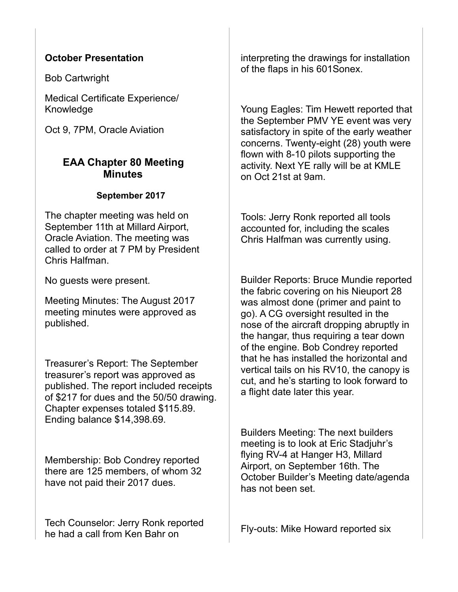#### **October Presentation**

Bob Cartwright

Medical Certificate Experience/ Knowledge

Oct 9, 7PM, Oracle Aviation

#### **EAA Chapter 80 Meeting Minutes**

#### **September 2017**

The chapter meeting was held on September 11th at Millard Airport, Oracle Aviation. The meeting was called to order at 7 PM by President Chris Halfman.

No guests were present.

Meeting Minutes: The August 2017 meeting minutes were approved as published.

Treasurer's Report: The September treasurer's report was approved as published. The report included receipts of \$217 for dues and the 50/50 drawing. Chapter expenses totaled \$115.89. Ending balance \$14,398.69.

Membership: Bob Condrey reported there are 125 members, of whom 32 have not paid their 2017 dues.

Tech Counselor: Jerry Ronk reported he had a call from Ken Bahr on

interpreting the drawings for installation of the flaps in his 601Sonex.

Young Eagles: Tim Hewett reported that the September PMV YE event was very satisfactory in spite of the early weather concerns. Twenty-eight (28) youth were flown with 8-10 pilots supporting the activity. Next YE rally will be at KMLE on Oct 21st at 9am.

Tools: Jerry Ronk reported all tools accounted for, including the scales Chris Halfman was currently using.

Builder Reports: Bruce Mundie reported the fabric covering on his Nieuport 28 was almost done (primer and paint to go). A CG oversight resulted in the nose of the aircraft dropping abruptly in the hangar, thus requiring a tear down of the engine. Bob Condrey reported that he has installed the horizontal and vertical tails on his RV10, the canopy is cut, and he's starting to look forward to a flight date later this year.

Builders Meeting: The next builders meeting is to look at Eric Stadjuhr's flying RV-4 at Hanger H3, Millard Airport, on September 16th. The October Builder's Meeting date/agenda has not been set.

Fly-outs: Mike Howard reported six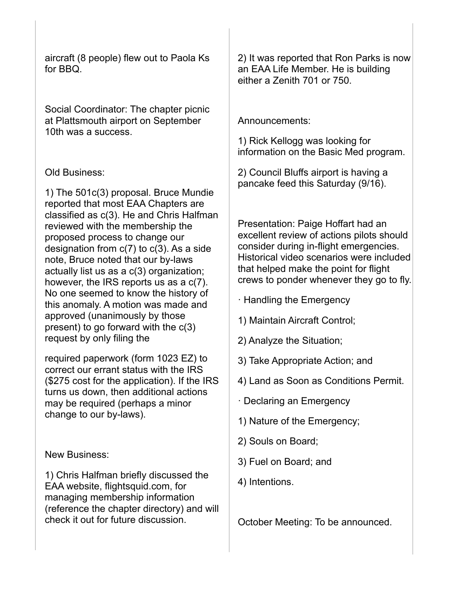aircraft (8 people) flew out to Paola Ks for BBQ.

Social Coordinator: The chapter picnic at Plattsmouth airport on September 10th was a success.

#### Old Business:

1) The 501c(3) proposal. Bruce Mundie reported that most EAA Chapters are classified as c(3). He and Chris Halfman reviewed with the membership the proposed process to change our designation from c(7) to c(3). As a side note, Bruce noted that our by-laws actually list us as a c(3) organization; however, the IRS reports us as a c(7). No one seemed to know the history of this anomaly. A motion was made and approved (unanimously by those present) to go forward with the c(3) request by only filing the

required paperwork (form 1023 EZ) to correct our errant status with the IRS (\$275 cost for the application). If the IRS turns us down, then additional actions may be required (perhaps a minor change to our by-laws).

New Business:

1) Chris Halfman briefly discussed the EAA website, flightsquid.com, for managing membership information (reference the chapter directory) and will check it out for future discussion.

2) It was reported that Ron Parks is now an EAA Life Member. He is building either a Zenith 701 or 750.

Announcements:

1) Rick Kellogg was looking for information on the Basic Med program.

2) Council Bluffs airport is having a pancake feed this Saturday (9/16).

Presentation: Paige Hoffart had an excellent review of actions pilots should consider during in-flight emergencies. Historical video scenarios were included that helped make the point for flight crews to ponder whenever they go to fly.

- · Handling the Emergency
- 1) Maintain Aircraft Control;
- 2) Analyze the Situation;
- 3) Take Appropriate Action; and
- 4) Land as Soon as Conditions Permit.
- · Declaring an Emergency
- 1) Nature of the Emergency;
- 2) Souls on Board;
- 3) Fuel on Board; and
- 4) Intentions.

October Meeting: To be announced.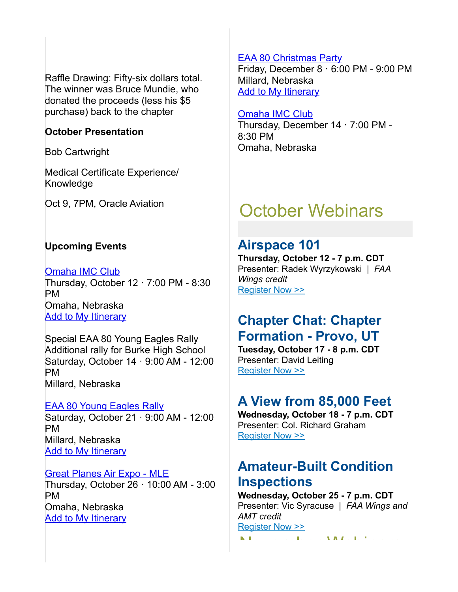Raffle Drawing: Fifty-six dollars total. The winner was Bruce Mundie, who donated the proceeds (less his \$5 purchase) back to the chapter

#### **October Presentation**

Bob Cartwright

Medical Certificate Experience/ Knowledge

Oct 9, 7PM, Oracle Aviation

#### **Upcoming Events**

[Omaha IMC Club](https://www.eaa.org/eaa/event/2017-10-12-Omaha_IMC_Club?id=29704E2CE74F4CAA84EAE79F3F93DBDC) Thursday, October 12 · 7:00 PM - 8:30 PM Omaha, Nebraska **[Add to My Itinerary](https://www.eaa.org/en/eaa/account/accountlogin)** 

Special EAA 80 Young Eagles Rally Additional rally for Burke High School Saturday, October 14 · 9:00 AM - 12:00 PM Millard, Nebraska

**[EAA 80 Young Eagles Rally](https://www.eaa.org/eaa/event/2017-10-21-EAA_80_Young_Eagles_Rally?id=F7222734C3DF4E609F3B058AF2B4ED0A)** Saturday, October 21 · 9:00 AM - 12:00 PM Millard, Nebraska [Add to My Itinerary](https://www.eaa.org/en/eaa/account/accountlogin)

[Great Planes Air Expo - MLE](https://www.eaa.org/eaa/event/2017-10-26-Great_Planes_Air_Expo-MLE?id=5DB6FABB639F427AA115BD681B15E113) Thursday, October 26 · 10:00 AM - 3:00 PM Omaha, Nebraska **[Add to My Itinerary](https://www.eaa.org/en/eaa/account/accountlogin)** 

#### [EAA 80 Christmas Party](https://www.eaa.org/eaa/event/2017-12-08-EAA_80_Christmas_Party?id=802E4B8F7A06429C947BE6A5A4B53B2C)

Friday, December 8 · 6:00 PM - 9:00 PM Millard, Nebraska [Add to My Itinerary](https://www.eaa.org/en/eaa/account/accountlogin)

#### [Omaha IMC Club](https://www.eaa.org/eaa/event/2017-12-14-Omaha_IMC_Club?id=9BAB18C3F52D4E63A6CF3EA01D43B9D4)

Thursday, December 14 · 7:00 PM - 8:30 PM Omaha, Nebraska

## October Webinars

### **Airspace 101**

**Thursday, October 12 - 7 p.m. CDT** Presenter: Radek Wyrzykowski | *FAA Wings credit* [Register Now >>](http://go.eaa.org/FFmEB00sj0S0H3BV000UOK1)

## **Chapter Chat: Chapter Formation - Provo, UT**

**Tuesday, October 17 - 8 p.m. CDT** Presenter: David Leiting [Register Now >>](http://go.eaa.org/P000K0OSBE0Ht10B0mkUFV3)

## **A View from 85,000 Feet**

**Wednesday, October 18 - 7 p.m. CDT** Presenter: Col. Richard Graham [Register Now >>](http://go.eaa.org/hBHFu1E00S000VOBK030Ulm)

## **Amateur-Built Condition Inspections**

**Wednesday, October 25 - 7 p.m. CDT** Presenter: Vic Syracuse | *FAA Wings and AMT credit* [Register Now >>](http://go.eaa.org/qFUS0O0mBm0K1B03E0Hv00V) November Webinars Webinars Webinars and Webinars and Webinars and Webinars and Webinars and Webinars and Webinars and Webinars and Webinars and Webinars and Webinars and Webinars and Webinars and Webinars and Webinars and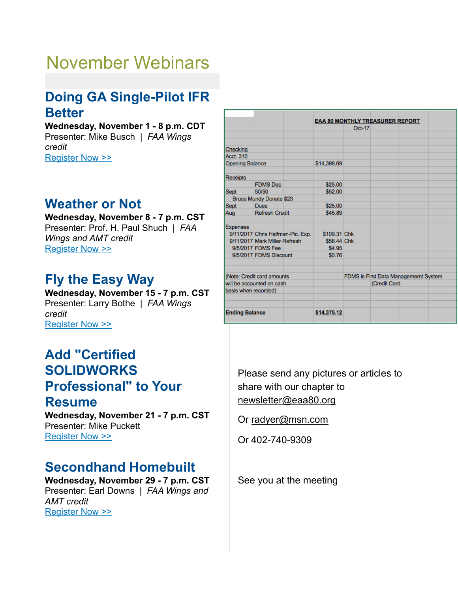# November Webinars

## **Doing GA Single-Pilot IFR Better**

#### **Wednesday, November 1 - 8 p.m. CDT** Presenter: Mike Busch | *FAA Wings credit* [Register Now >>](http://go.eaa.org/CEH00n0wB0BS0KOm3V0FU01)

## **Weather or Not**

**Wednesday, November 8 - 7 p.m. CST** Presenter: Prof. H. Paul Shuch | *FAA Wings and AMT credit* [Register Now >>](http://go.eaa.org/lBEVo000BFmH0U3O10K0x0S)

## **Fly the Easy Way**

**Wednesday, November 15 - 7 p.m. CST** Presenter: Larry Bothe | *FAA Wings credit* [Register Now >>](http://go.eaa.org/wEmUK1OSB0000HFp00V3y0B)

## **Add "Certified SOLIDWORKS Professional" to Your Resume**

**Wednesday, November 21 - 7 p.m. CST** Presenter: Mike Puckett [Register Now >>](http://go.eaa.org/CEH00q0zB0BS0KOm3V0FU01)

## **Secondhand Homebuilt**

**Wednesday, November 29 - 7 p.m. CST** Presenter: Earl Downs | *FAA Wings and AMT credit* [Register Now >>](http://go.eaa.org/I0F0ASm0B1HrKO3V0B0EU00)

|                           |                                   | EAA 80 MONTHLY TREASURER REPORT |          |                                      |  |  |
|---------------------------|-----------------------------------|---------------------------------|----------|--------------------------------------|--|--|
|                           |                                   |                                 | $Oct-17$ |                                      |  |  |
|                           |                                   |                                 |          |                                      |  |  |
| Checking                  |                                   |                                 |          |                                      |  |  |
| <b>Acct. 310</b>          |                                   |                                 |          |                                      |  |  |
| <b>Opening Balance</b>    |                                   | \$14,398.69                     |          |                                      |  |  |
| <b>Receipts</b>           |                                   |                                 |          |                                      |  |  |
|                           | <b>FDMS Dep</b>                   | \$25.00                         |          |                                      |  |  |
| <b>Sept</b>               | 50/50                             | \$52.00                         |          |                                      |  |  |
|                           | Bruce Mundy Donate \$23           |                                 |          |                                      |  |  |
| Sept                      | <b>Dues</b>                       | \$25.00                         |          |                                      |  |  |
| Aug                       | <b>Refresh Credit</b>             | \$45.89                         |          |                                      |  |  |
| Expenses                  |                                   |                                 |          |                                      |  |  |
|                           | 9/11/2017 Chris Halfman-Pic. Exp. | \$109.31 Chk                    |          |                                      |  |  |
|                           | 9/11/2017 Mark Miller-Refresh     | \$56.44 Chk                     |          |                                      |  |  |
|                           | 9/5/2017 FDMS Fee                 | \$4.95                          |          |                                      |  |  |
|                           | 9/5/2017 FDMS Discount            | \$0.76                          |          |                                      |  |  |
|                           | (Note: Credit card amounts)       |                                 |          | FDMS is First Data Managememt System |  |  |
| will be accounted on cash |                                   |                                 |          | (Credit Card                         |  |  |
| basis when recorded)      |                                   |                                 |          |                                      |  |  |
| <b>Ending Balance</b>     |                                   | \$14,375.12                     |          |                                      |  |  |

Please send any pictures or articles to share with our chapter to [newsletter@eaa80.org](mailto:newsletter@eaa80.org) 

Or [radyer@msn.com](mailto:radyer@msn.com)

Or 402-740-9309

See you at the meeting